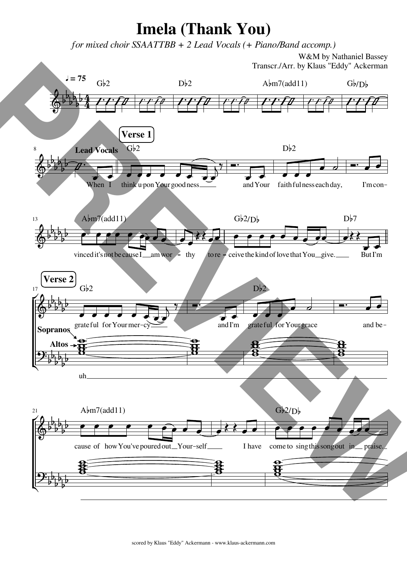## Imela (Thank You)

for mixed choir SSAATTBB + 2 Lead Vocals (+ Piano/Band accomp.)

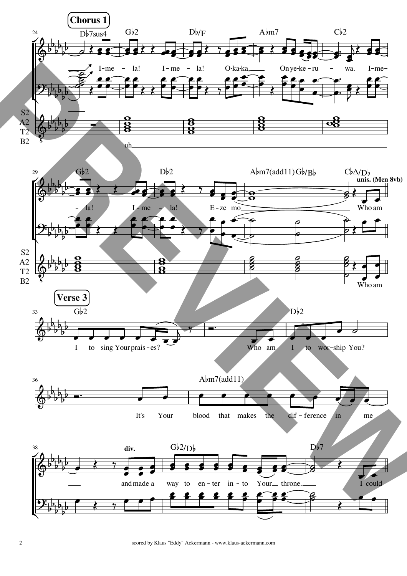

2 scored by Klaus "Eddy" Ackermann - www.klaus-ackermann.com